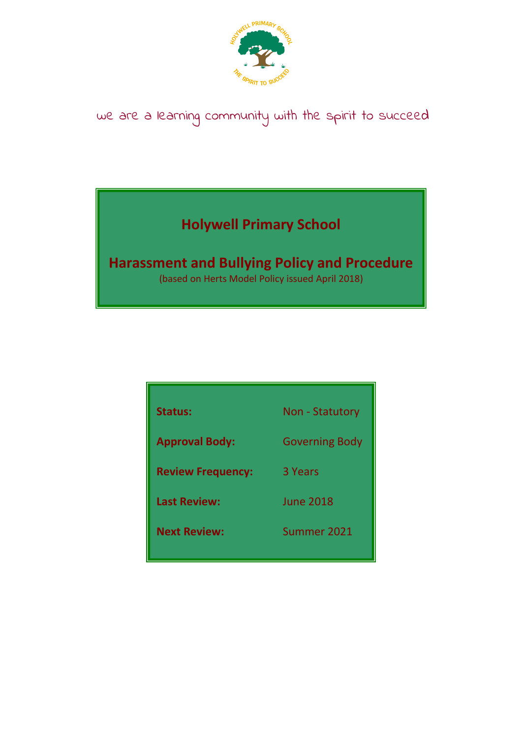

# we are a learning community with the spirit to succeed

## **Holywell Primary School**

## **Harassment and Bullying Policy and Procedure**

(based on Herts Model Policy issued April 2018)

| <b>Status:</b>           | <b>Non - Statutory</b> |
|--------------------------|------------------------|
| <b>Approval Body:</b>    | <b>Governing Body</b>  |
| <b>Review Frequency:</b> | 3 Years                |
| <b>Last Review:</b>      | <b>June 2018</b>       |
| <b>Next Review:</b>      | Summer 2021            |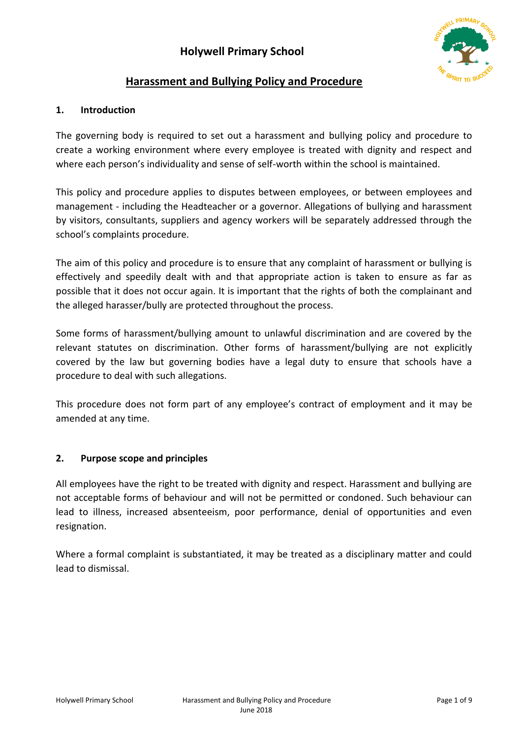

## **Harassment and Bullying Policy and Procedure**

## **1. Introduction**

The governing body is required to set out a harassment and bullying policy and procedure to create a working environment where every employee is treated with dignity and respect and where each person's individuality and sense of self-worth within the school is maintained.

This policy and procedure applies to disputes between employees, or between employees and management - including the Headteacher or a governor. Allegations of bullying and harassment by visitors, consultants, suppliers and agency workers will be separately addressed through the school's complaints procedure.

The aim of this policy and procedure is to ensure that any complaint of harassment or bullying is effectively and speedily dealt with and that appropriate action is taken to ensure as far as possible that it does not occur again. It is important that the rights of both the complainant and the alleged harasser/bully are protected throughout the process.

Some forms of harassment/bullying amount to unlawful discrimination and are covered by the relevant statutes on discrimination. Other forms of harassment/bullying are not explicitly covered by the law but governing bodies have a legal duty to ensure that schools have a procedure to deal with such allegations.

This procedure does not form part of any employee's contract of employment and it may be amended at any time.

## **2. Purpose scope and principles**

All employees have the right to be treated with dignity and respect. Harassment and bullying are not acceptable forms of behaviour and will not be permitted or condoned. Such behaviour can lead to illness, increased absenteeism, poor performance, denial of opportunities and even resignation.

Where a formal complaint is substantiated, it may be treated as a disciplinary matter and could lead to dismissal.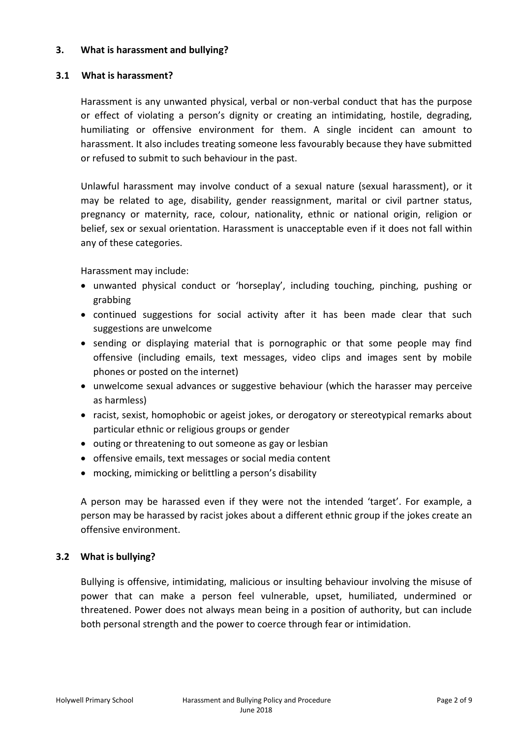#### **3. What is harassment and bullying?**

### **3.1 What is harassment?**

Harassment is any unwanted physical, verbal or non-verbal conduct that has the purpose or effect of violating a person's dignity or creating an intimidating, hostile, degrading, humiliating or offensive environment for them. A single incident can amount to harassment. It also includes treating someone less favourably because they have submitted or refused to submit to such behaviour in the past.

Unlawful harassment may involve conduct of a sexual nature (sexual harassment), or it may be related to age, disability, gender reassignment, marital or civil partner status, pregnancy or maternity, race, colour, nationality, ethnic or national origin, religion or belief, sex or sexual orientation. Harassment is unacceptable even if it does not fall within any of these categories.

Harassment may include:

- unwanted physical conduct or 'horseplay', including touching, pinching, pushing or grabbing
- continued suggestions for social activity after it has been made clear that such suggestions are unwelcome
- sending or displaying material that is pornographic or that some people may find offensive (including emails, text messages, video clips and images sent by mobile phones or posted on the internet)
- unwelcome sexual advances or suggestive behaviour (which the harasser may perceive as harmless)
- racist, sexist, homophobic or ageist jokes, or derogatory or stereotypical remarks about particular ethnic or religious groups or gender
- outing or threatening to out someone as gay or lesbian
- offensive emails, text messages or social media content
- mocking, mimicking or belittling a person's disability

A person may be harassed even if they were not the intended 'target'. For example, a person may be harassed by racist jokes about a different ethnic group if the jokes create an offensive environment.

## **3.2 What is bullying?**

Bullying is offensive, intimidating, malicious or insulting behaviour involving the misuse of power that can make a person feel vulnerable, upset, humiliated, undermined or threatened. Power does not always mean being in a position of authority, but can include both personal strength and the power to coerce through fear or intimidation.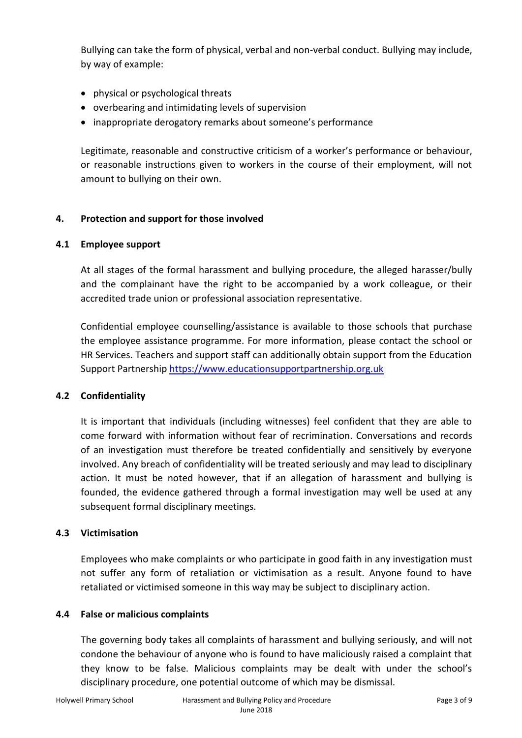Bullying can take the form of physical, verbal and non-verbal conduct. Bullying may include, by way of example:

- physical or psychological threats
- overbearing and intimidating levels of supervision
- inappropriate derogatory remarks about someone's performance

Legitimate, reasonable and constructive criticism of a worker's performance or behaviour, or reasonable instructions given to workers in the course of their employment, will not amount to bullying on their own.

### **4. Protection and support for those involved**

#### **4.1 Employee support**

At all stages of the formal harassment and bullying procedure, the alleged harasser/bully and the complainant have the right to be accompanied by a work colleague, or their accredited trade union or professional association representative.

Confidential employee counselling/assistance is available to those schools that purchase the employee assistance programme. For more information, please contact the school or HR Services. Teachers and support staff can additionally obtain support from the Education Support Partnership [https://www.educationsupportpartnership.org.uk](https://www.educationsupportpartnership.org.uk/) 

## **4.2 Confidentiality**

It is important that individuals (including witnesses) feel confident that they are able to come forward with information without fear of recrimination. Conversations and records of an investigation must therefore be treated confidentially and sensitively by everyone involved. Any breach of confidentiality will be treated seriously and may lead to disciplinary action. It must be noted however, that if an allegation of harassment and bullying is founded, the evidence gathered through a formal investigation may well be used at any subsequent formal disciplinary meetings.

#### **4.3 Victimisation**

Employees who make complaints or who participate in good faith in any investigation must not suffer any form of retaliation or victimisation as a result. Anyone found to have retaliated or victimised someone in this way may be subject to disciplinary action.

#### **4.4 False or malicious complaints**

The governing body takes all complaints of harassment and bullying seriously, and will not condone the behaviour of anyone who is found to have maliciously raised a complaint that they know to be false. Malicious complaints may be dealt with under the school's disciplinary procedure, one potential outcome of which may be dismissal.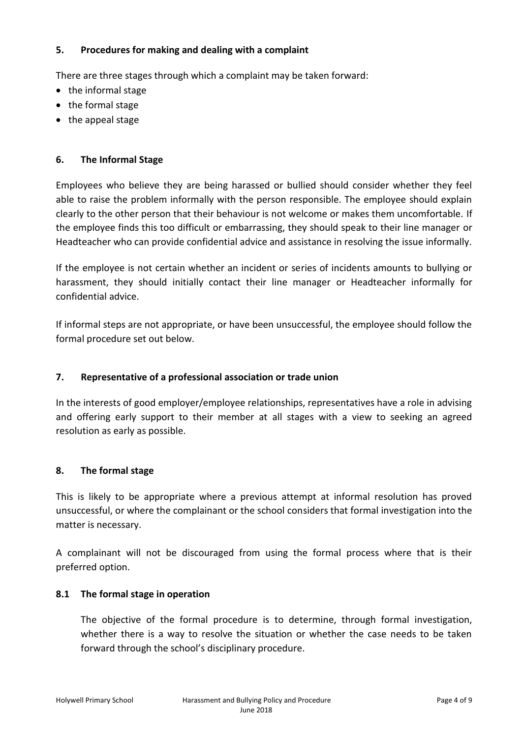### **5. Procedures for making and dealing with a complaint**

There are three stages through which a complaint may be taken forward:

- the informal stage
- the formal stage
- the appeal stage

## **6. The Informal Stage**

Employees who believe they are being harassed or bullied should consider whether they feel able to raise the problem informally with the person responsible. The employee should explain clearly to the other person that their behaviour is not welcome or makes them uncomfortable. If the employee finds this too difficult or embarrassing, they should speak to their line manager or Headteacher who can provide confidential advice and assistance in resolving the issue informally.

If the employee is not certain whether an incident or series of incidents amounts to bullying or harassment, they should initially contact their line manager or Headteacher informally for confidential advice.

If informal steps are not appropriate, or have been unsuccessful, the employee should follow the formal procedure set out below.

## **7. Representative of a professional association or trade union**

In the interests of good employer/employee relationships, representatives have a role in advising and offering early support to their member at all stages with a view to seeking an agreed resolution as early as possible.

## **8. The formal stage**

This is likely to be appropriate where a previous attempt at informal resolution has proved unsuccessful, or where the complainant or the school considers that formal investigation into the matter is necessary.

A complainant will not be discouraged from using the formal process where that is their preferred option.

## **8.1 The formal stage in operation**

The objective of the formal procedure is to determine, through formal investigation, whether there is a way to resolve the situation or whether the case needs to be taken forward through the school's disciplinary procedure.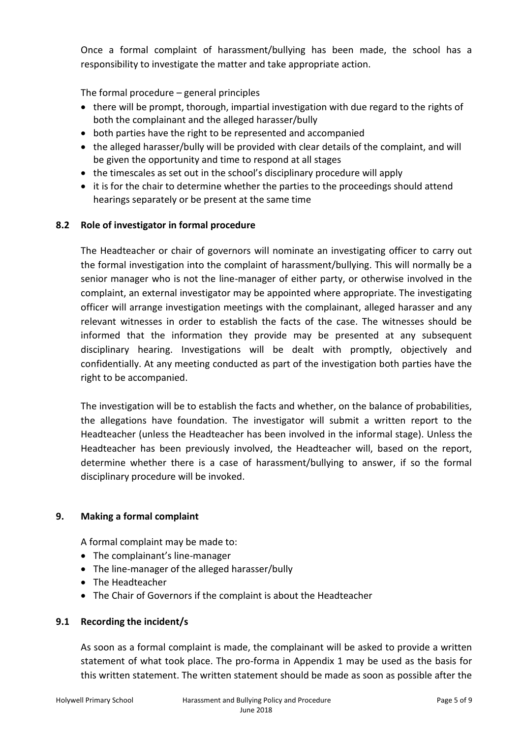Once a formal complaint of harassment/bullying has been made, the school has a responsibility to investigate the matter and take appropriate action.

The formal procedure – general principles

- there will be prompt, thorough, impartial investigation with due regard to the rights of both the complainant and the alleged harasser/bully
- both parties have the right to be represented and accompanied
- the alleged harasser/bully will be provided with clear details of the complaint, and will be given the opportunity and time to respond at all stages
- the timescales as set out in the school's disciplinary procedure will apply
- it is for the chair to determine whether the parties to the proceedings should attend hearings separately or be present at the same time

## **8.2 Role of investigator in formal procedure**

The Headteacher or chair of governors will nominate an investigating officer to carry out the formal investigation into the complaint of harassment/bullying. This will normally be a senior manager who is not the line-manager of either party, or otherwise involved in the complaint, an external investigator may be appointed where appropriate. The investigating officer will arrange investigation meetings with the complainant, alleged harasser and any relevant witnesses in order to establish the facts of the case. The witnesses should be informed that the information they provide may be presented at any subsequent disciplinary hearing. Investigations will be dealt with promptly, objectively and confidentially. At any meeting conducted as part of the investigation both parties have the right to be accompanied.

The investigation will be to establish the facts and whether, on the balance of probabilities, the allegations have foundation. The investigator will submit a written report to the Headteacher (unless the Headteacher has been involved in the informal stage). Unless the Headteacher has been previously involved, the Headteacher will, based on the report, determine whether there is a case of harassment/bullying to answer, if so the formal disciplinary procedure will be invoked.

## **9. Making a formal complaint**

A formal complaint may be made to:

- The complainant's line-manager
- The line-manager of the alleged harasser/bully
- The Headteacher
- The Chair of Governors if the complaint is about the Headteacher

## **9.1 Recording the incident/s**

As soon as a formal complaint is made, the complainant will be asked to provide a written statement of what took place. The pro-forma in Appendix 1 may be used as the basis for this written statement. The written statement should be made as soon as possible after the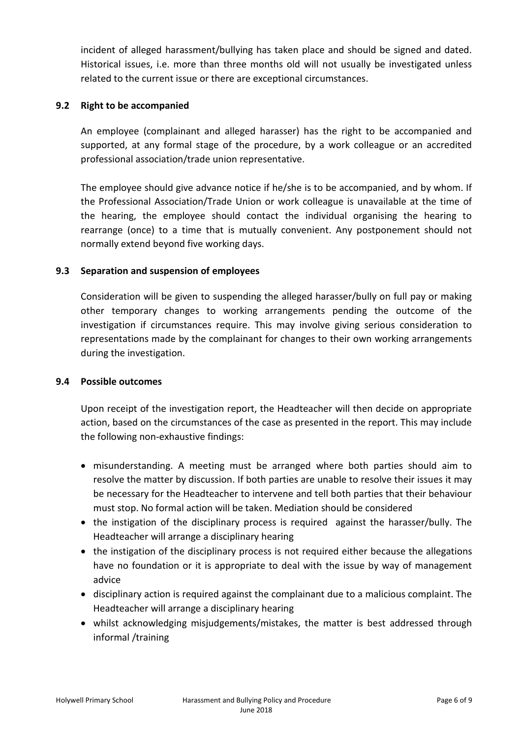incident of alleged harassment/bullying has taken place and should be signed and dated. Historical issues, i.e. more than three months old will not usually be investigated unless related to the current issue or there are exceptional circumstances.

#### **9.2 Right to be accompanied**

An employee (complainant and alleged harasser) has the right to be accompanied and supported, at any formal stage of the procedure, by a work colleague or an accredited professional association/trade union representative.

The employee should give advance notice if he/she is to be accompanied, and by whom. If the Professional Association/Trade Union or work colleague is unavailable at the time of the hearing, the employee should contact the individual organising the hearing to rearrange (once) to a time that is mutually convenient. Any postponement should not normally extend beyond five working days.

### **9.3 Separation and suspension of employees**

Consideration will be given to suspending the alleged harasser/bully on full pay or making other temporary changes to working arrangements pending the outcome of the investigation if circumstances require. This may involve giving serious consideration to representations made by the complainant for changes to their own working arrangements during the investigation.

#### **9.4 Possible outcomes**

Upon receipt of the investigation report, the Headteacher will then decide on appropriate action, based on the circumstances of the case as presented in the report. This may include the following non-exhaustive findings:

- misunderstanding. A meeting must be arranged where both parties should aim to resolve the matter by discussion. If both parties are unable to resolve their issues it may be necessary for the Headteacher to intervene and tell both parties that their behaviour must stop. No formal action will be taken. Mediation should be considered
- the instigation of the disciplinary process is required against the harasser/bully. The Headteacher will arrange a disciplinary hearing
- the instigation of the disciplinary process is not required either because the allegations have no foundation or it is appropriate to deal with the issue by way of management advice
- disciplinary action is required against the complainant due to a malicious complaint. The Headteacher will arrange a disciplinary hearing
- whilst acknowledging misjudgements/mistakes, the matter is best addressed through informal /training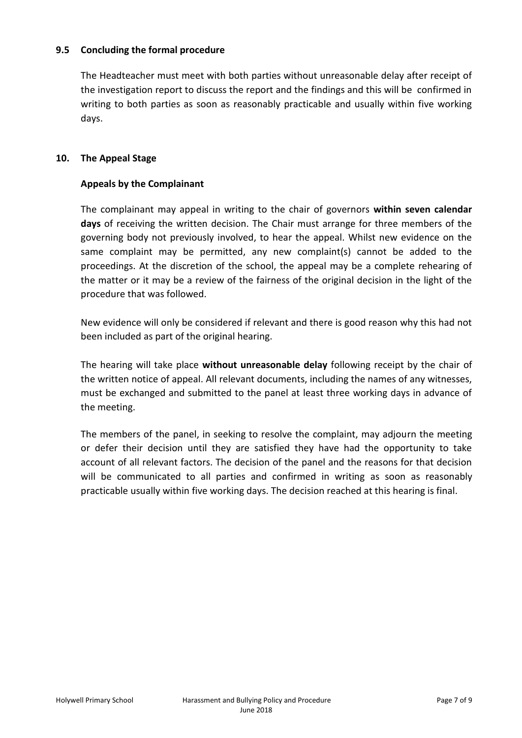#### **9.5 Concluding the formal procedure**

The Headteacher must meet with both parties without unreasonable delay after receipt of the investigation report to discuss the report and the findings and this will be confirmed in writing to both parties as soon as reasonably practicable and usually within five working days.

### **10. The Appeal Stage**

## **Appeals by the Complainant**

The complainant may appeal in writing to the chair of governors **within seven calendar days** of receiving the written decision. The Chair must arrange for three members of the governing body not previously involved, to hear the appeal. Whilst new evidence on the same complaint may be permitted, any new complaint(s) cannot be added to the proceedings. At the discretion of the school, the appeal may be a complete rehearing of the matter or it may be a review of the fairness of the original decision in the light of the procedure that was followed.

New evidence will only be considered if relevant and there is good reason why this had not been included as part of the original hearing.

The hearing will take place **without unreasonable delay** following receipt by the chair of the written notice of appeal. All relevant documents, including the names of any witnesses, must be exchanged and submitted to the panel at least three working days in advance of the meeting.

The members of the panel, in seeking to resolve the complaint, may adjourn the meeting or defer their decision until they are satisfied they have had the opportunity to take account of all relevant factors. The decision of the panel and the reasons for that decision will be communicated to all parties and confirmed in writing as soon as reasonably practicable usually within five working days. The decision reached at this hearing is final.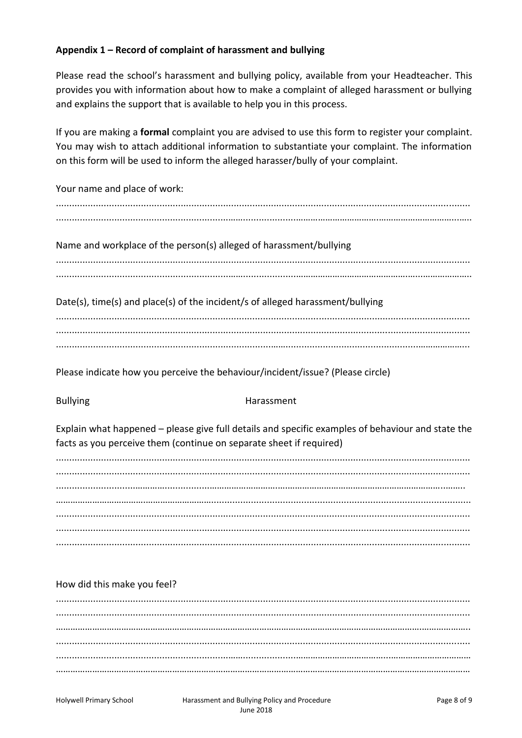### Appendix 1 – Record of complaint of harassment and bullying

Please read the school's harassment and bullying policy, available from your Headteacher. This provides you with information about how to make a complaint of alleged harassment or bullying and explains the support that is available to help you in this process.

If you are making a formal complaint you are advised to use this form to register your complaint. You may wish to attach additional information to substantiate your complaint. The information on this form will be used to inform the alleged harasser/bully of your complaint.

Your name and place of work:

Name and workplace of the person(s) alleged of harassment/bullying

Date(s), time(s) and place(s) of the incident/s of alleged harassment/bullying

Please indicate how you perceive the behaviour/incident/issue? (Please circle)

**Bullying** 

#### Harassment

Explain what happened – please give full details and specific examples of behaviour and state the facts as you perceive them (continue on separate sheet if required)

#### How did this make you feel?